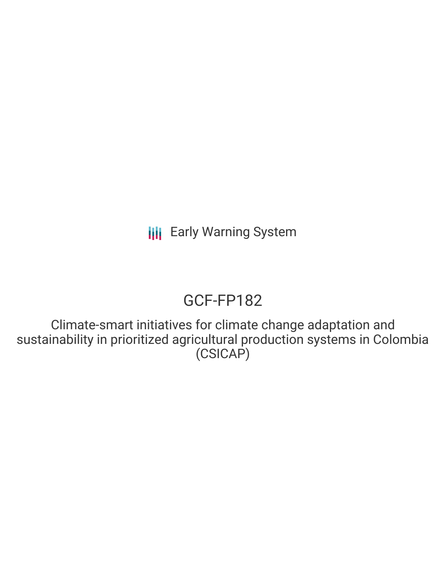# GCF-FP182

Climate-smart initiatives for climate change adaptation and sustainability in prioritized agricultural production systems in Colombia (CSICAP)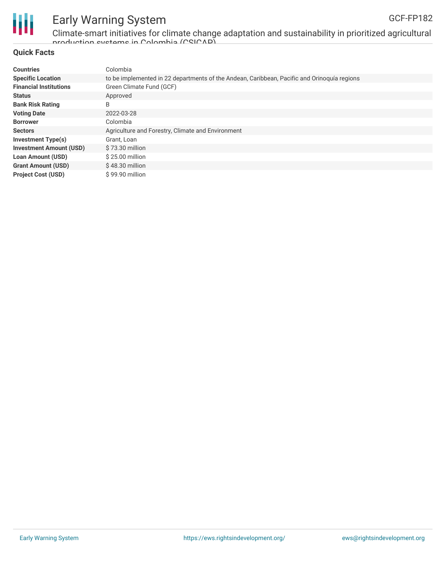

Climate-smart initiatives for climate change adaptation and sustainability in prioritized agricultural production systems in Colombia (CSICAP)

#### **Quick Facts**

| <b>Countries</b>               | Colombia                                                                                    |
|--------------------------------|---------------------------------------------------------------------------------------------|
| <b>Specific Location</b>       | to be implemented in 22 departments of the Andean, Caribbean, Pacific and Orinoquía regions |
| <b>Financial Institutions</b>  | Green Climate Fund (GCF)                                                                    |
| <b>Status</b>                  | Approved                                                                                    |
| <b>Bank Risk Rating</b>        | B                                                                                           |
| <b>Voting Date</b>             | 2022-03-28                                                                                  |
| <b>Borrower</b>                | Colombia                                                                                    |
| <b>Sectors</b>                 | Agriculture and Forestry, Climate and Environment                                           |
| Investment Type(s)             | Grant, Loan                                                                                 |
| <b>Investment Amount (USD)</b> | \$73.30 million                                                                             |
| <b>Loan Amount (USD)</b>       | $$25.00$ million                                                                            |
| <b>Grant Amount (USD)</b>      | $$48.30$ million                                                                            |
| <b>Project Cost (USD)</b>      | $$99.90$ million                                                                            |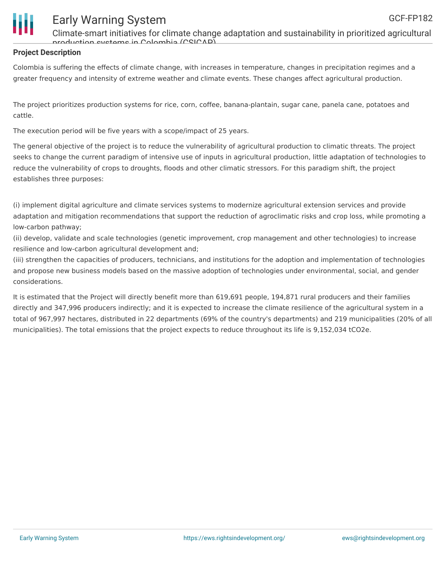

Climate-smart initiatives for climate change adaptation and sustainability in prioritized agricultural production systems in Colombia (CSICAP)

#### **Project Description**

Colombia is suffering the effects of climate change, with increases in temperature, changes in precipitation regimes and a greater frequency and intensity of extreme weather and climate events. These changes affect agricultural production.

The project prioritizes production systems for rice, corn, coffee, banana-plantain, sugar cane, panela cane, potatoes and cattle.

The execution period will be five years with a scope/impact of 25 years.

The general objective of the project is to reduce the vulnerability of agricultural production to climatic threats. The project seeks to change the current paradigm of intensive use of inputs in agricultural production, little adaptation of technologies to reduce the vulnerability of crops to droughts, floods and other climatic stressors. For this paradigm shift, the project establishes three purposes:

(i) implement digital agriculture and climate services systems to modernize agricultural extension services and provide adaptation and mitigation recommendations that support the reduction of agroclimatic risks and crop loss, while promoting a low-carbon pathway;

(ii) develop, validate and scale technologies (genetic improvement, crop management and other technologies) to increase resilience and low-carbon agricultural development and;

(iii) strengthen the capacities of producers, technicians, and institutions for the adoption and implementation of technologies and propose new business models based on the massive adoption of technologies under environmental, social, and gender considerations.

It is estimated that the Project will directly benefit more than 619,691 people, 194,871 rural producers and their families directly and 347,996 producers indirectly; and it is expected to increase the climate resilience of the agricultural system in a total of 967,997 hectares, distributed in 22 departments (69% of the country's departments) and 219 municipalities (20% of all municipalities). The total emissions that the project expects to reduce throughout its life is 9,152,034 tCO2e.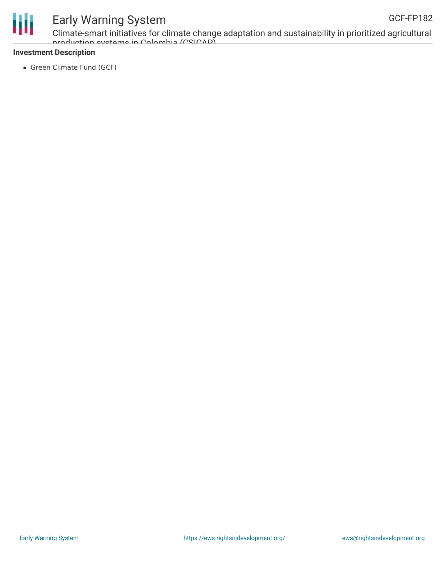

Climate-smart initiatives for climate change adaptation and sustainability in prioritized agricultural production systems in Colombia (CSICAP)

#### **Investment Description**

• Green Climate Fund (GCF)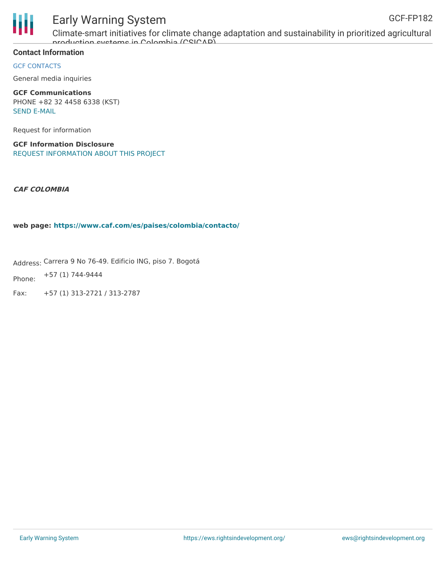



Climate-smart initiatives for climate change adaptation and sustainability in prioritized agricultural production systems in Colombia (CSICAP)

#### **Contact Information**

GCF CONTACTS

General media inquiries

**GCF Communications** PHONE +82 32 4458 6338 (KST) SEND [E-MAIL](mailto:communications@gcfund.org)

Request for information

**GCF Information Disclosure** REQUEST [INFORMATION](https://www.greenclimate.fund/about/disclosure/form) ABOUT THIS PROJECT

**CAF COLOMBIA**

**web page: <https://www.caf.com/es/paises/colombia/contacto/>**

Address: Carrera 9 No 76-49. Edificio ING, piso 7. Bogotá

Phone: +57 (1) 744-9444

Fax: +57 (1) 313-2721 / 313-2787